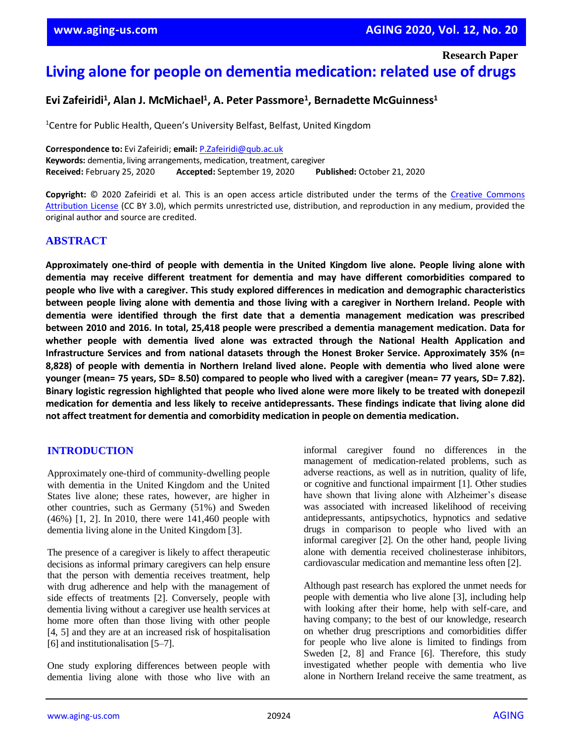**Research Paper**

# **Living alone for people on dementia medication: related use of drugs**

# **Evi Zafeiridi<sup>1</sup> , Alan J. McMichael<sup>1</sup> , A. Peter Passmore<sup>1</sup> , Bernadette McGuinness<sup>1</sup>**

<sup>1</sup>Centre for Public Health, Queen's University Belfast, Belfast, United Kingdom

**Correspondence to:** Evi Zafeiridi; **email:** [P.Zafeiridi@qub.ac.uk](mailto:P.Zafeiridi@qub.ac.uk) **Keywords:** dementia, living arrangements, medication, treatment, caregiver **Received:** February 25, 2020 **Accepted:** September 19, 2020 **Published:** October 21, 2020

**Copyright:** © 2020 Zafeiridi et al. This is an open access article distributed under the terms of the [Creative Commons](https://creativecommons.org/licenses/by/3.0/)  [Attribution License](https://creativecommons.org/licenses/by/3.0/) (CC BY 3.0), which permits unrestricted use, distribution, and reproduction in any medium, provided the original author and source are credited.

# **ABSTRACT**

**Approximately one-third of people with dementia in the United Kingdom live alone. People living alone with dementia may receive different treatment for dementia and may have different comorbidities compared to people who live with a caregiver. This study explored differences in medication and demographic characteristics** between people living alone with dementia and those living with a caregiver in Northern Ireland. People with **dementia were identified through the first date that a dementia management medication was prescribed between 2010 and 2016. In total, 25,418 people were prescribed a dementia management medication. Data for whether people with dementia lived alone was extracted through the National Health Application and Infrastructure Services and from national datasets through the Honest Broker Service. Approximately 35% (n= 8,828) of people with dementia in Northern Ireland lived alone. People with dementia who lived alone were** younger (mean= 75 years, SD= 8.50) compared to people who lived with a caregiver (mean= 77 years, SD= 7.82). Binary logistic regression highlighted that people who lived alone were more likely to be treated with donepezil medication for dementia and less likely to receive antidepressants. These findings indicate that living alone did **not affect treatment for dementia and comorbidity medication in people on dementia medication.**

# **INTRODUCTION**

Approximately one-third of community-dwelling people with dementia in the United Kingdom and the United States live alone; these rates, however, are higher in other countries, such as Germany (51%) and Sweden (46%) [1, 2]. In 2010, there were 141,460 people with dementia living alone in the United Kingdom [3].

The presence of a caregiver is likely to affect therapeutic decisions as informal primary caregivers can help ensure that the person with dementia receives treatment, help with drug adherence and help with the management of side effects of treatments [2]. Conversely, people with dementia living without a caregiver use health services at home more often than those living with other people [4, 5] and they are at an increased risk of hospitalisation [6] and institutionalisation [5–7].

One study exploring differences between people with dementia living alone with those who live with an informal caregiver found no differences in the management of medication-related problems, such as adverse reactions, as well as in nutrition, quality of life, or cognitive and functional impairment [1]. Other studies have shown that living alone with Alzheimer's disease was associated with increased likelihood of receiving antidepressants, antipsychotics, hypnotics and sedative drugs in comparison to people who lived with an informal caregiver [2]. On the other hand, people living alone with dementia received cholinesterase inhibitors, cardiovascular medication and memantine less often [2].

Although past research has explored the unmet needs for people with dementia who live alone [3], including help with looking after their home, help with self-care, and having company; to the best of our knowledge, research on whether drug prescriptions and comorbidities differ for people who live alone is limited to findings from Sweden [2, 8] and France [6]. Therefore, this study investigated whether people with dementia who live alone in Northern Ireland receive the same treatment, as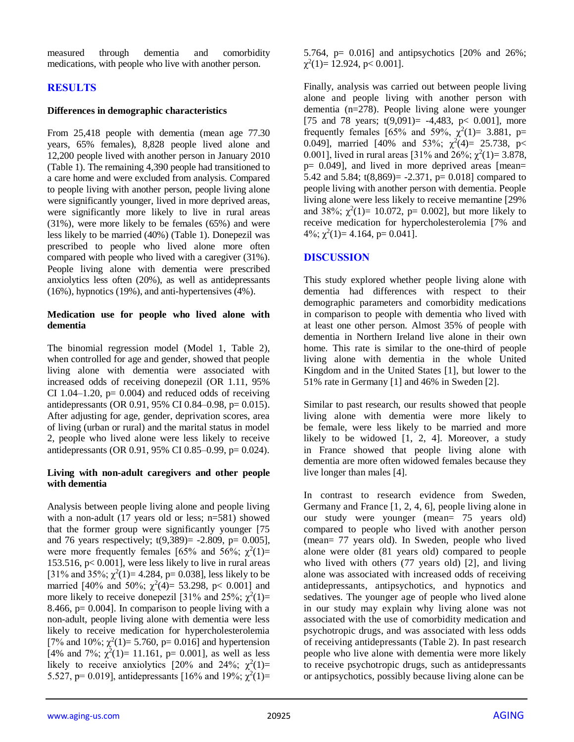measured through dementia and comorbidity medications, with people who live with another person.

# **RESULTS**

# **Differences in demographic characteristics**

From 25,418 people with dementia (mean age 77.30 years, 65% females), 8,828 people lived alone and 12,200 people lived with another person in January 2010 (Table 1). The remaining 4,390 people had transitioned to a care home and were excluded from analysis. Compared to people living with another person, people living alone were significantly younger, lived in more deprived areas, were significantly more likely to live in rural areas (31%), were more likely to be females (65%) and were less likely to be married (40%) (Table 1). Donepezil was prescribed to people who lived alone more often compared with people who lived with a caregiver (31%). People living alone with dementia were prescribed anxiolytics less often (20%), as well as antidepressants (16%), hypnotics (19%), and anti-hypertensives (4%).

## **Medication use for people who lived alone with dementia**

The binomial regression model (Model 1, Table 2), when controlled for age and gender, showed that people living alone with dementia were associated with increased odds of receiving donepezil (OR 1.11, 95% CI 1.04–1.20,  $p= 0.004$ ) and reduced odds of receiving antidepressants (OR 0.91, 95% CI 0.84–0.98, p= 0.015). After adjusting for age, gender, deprivation scores, area of living (urban or rural) and the marital status in model 2, people who lived alone were less likely to receive antidepressants (OR 0.91, 95% CI 0.85–0.99, p= 0.024).

## **Living with non-adult caregivers and other people with dementia**

Analysis between people living alone and people living with a non-adult (17 years old or less; n=581) showed that the former group were significantly younger [75 and 76 years respectively; t(9,389)= -2.809, p= 0.005], were more frequently females [65% and 56%;  $\chi^2(1)$ = 153.516,  $p< 0.001$ ], were less likely to live in rural areas [31% and 35%;  $\chi^2(1) = 4.284$ , p= 0.038], less likely to be married [40% and 50%;  $\chi^2(4) = 53.298$ , p< 0.001] and more likely to receive donepezil [31% and 25%;  $\chi^2(1)$ = 8.466,  $p = 0.004$ . In comparison to people living with a non-adult, people living alone with dementia were less likely to receive medication for hypercholesterolemia [7% and 10%;  $\chi^2(1) = 5.760$ , p= 0.016] and hypertension [4% and 7%;  $\chi^2(1) = 11.161$ , p= 0.001], as well as less likely to receive anxiolytics [20% and 24%;  $\chi^2(1)$ = 5.527, p= 0.019], antidepressants [16% and 19%;  $\chi^2(1)$ = 5.764, p= 0.016] and antipsychotics [20% and 26%;  $\chi^2(1) = 12.924$ , p< 0.001].

Finally, analysis was carried out between people living alone and people living with another person with dementia (n=278). People living alone were younger [75 and 78 years;  $t(9,091) = -4,483$ ,  $p < 0.001$ ], more frequently females [65% and 59%,  $\chi^2(1) = 3.881$ , p= 0.049], married [40% and 53%;  $\chi^2(4) = 25.738$ ,  $p <$ 0.001], lived in rural areas [31% and 26%;  $\chi^2(1) = 3.878$ , p= 0.049], and lived in more deprived areas [mean= 5.42 and 5.84;  $t(8,869) = -2.371$ ,  $p = 0.018$  compared to people living with another person with dementia. People living alone were less likely to receive memantine [29% and 38%;  $\chi^2(1) = 10.072$ , p= 0.002], but more likely to receive medication for hypercholesterolemia [7% and  $4\%$ ;  $\chi^2(1)=4.164$ , p= 0.041].

# **DISCUSSION**

This study explored whether people living alone with dementia had differences with respect to their demographic parameters and comorbidity medications in comparison to people with dementia who lived with at least one other person. Almost 35% of people with dementia in Northern Ireland live alone in their own home. This rate is similar to the one-third of people living alone with dementia in the whole United Kingdom and in the United States [1], but lower to the 51% rate in Germany [1] and 46% in Sweden [2].

Similar to past research, our results showed that people living alone with dementia were more likely to be female, were less likely to be married and more likely to be widowed [1, 2, 4]. Moreover, a study in France showed that people living alone with dementia are more often widowed females because they live longer than males [4].

In contrast to research evidence from Sweden, Germany and France [1, 2, 4, 6], people living alone in our study were younger (mean= 75 years old) compared to people who lived with another person (mean= 77 years old). In Sweden, people who lived alone were older (81 years old) compared to people who lived with others (77 years old) [2], and living alone was associated with increased odds of receiving antidepressants, antipsychotics, and hypnotics and sedatives. The younger age of people who lived alone in our study may explain why living alone was not associated with the use of comorbidity medication and psychotropic drugs, and was associated with less odds of receiving antidepressants (Table 2). In past research people who live alone with dementia were more likely to receive psychotropic drugs, such as antidepressants or antipsychotics, possibly because living alone can be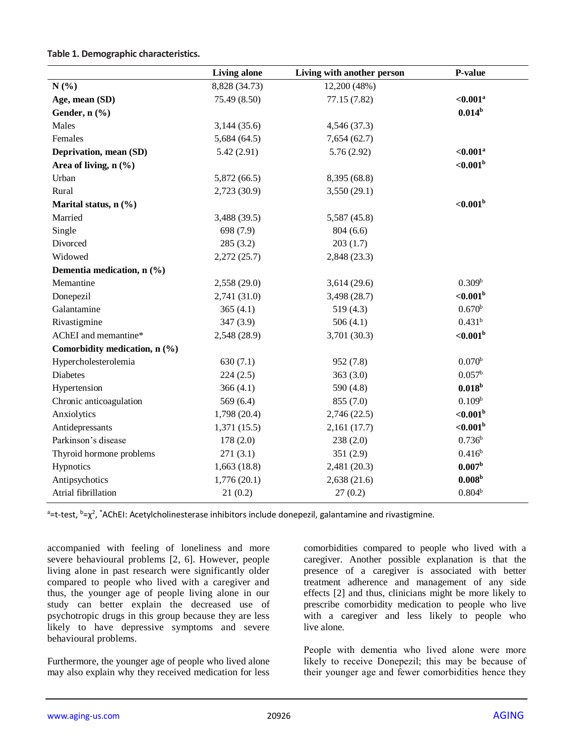#### **Table 1. Demographic characteristics.**

|                               | <b>Living alone</b> | Living with another person | P-value                 |
|-------------------------------|---------------------|----------------------------|-------------------------|
| N(%)                          | 8,828 (34.73)       | 12,200 (48%)               |                         |
| Age, mean (SD)                | 75.49 (8.50)        | 77.15 (7.82)               | $< 0.001^a$             |
| Gender, n (%)                 |                     |                            | $0.014^b$               |
| Males                         | 3,144(35.6)         | 4,546 (37.3)               |                         |
| Females                       | 5,684(64.5)         | 7,654(62.7)                |                         |
| Deprivation, mean (SD)        | 5.42(2.91)          | 5.76(2.92)                 | $< 0.001$ <sup>a</sup>  |
| Area of living, $n$ (%)       |                     |                            | ${<}0.001$ <sup>b</sup> |
| Urban                         | 5,872(66.5)         | 8,395 (68.8)               |                         |
| Rural                         | 2,723 (30.9)        | 3,550(29.1)                |                         |
| Marital status, $n$ (%)       |                     |                            | ${<}0.001$ <sup>b</sup> |
| Married                       | 3,488 (39.5)        | 5,587 (45.8)               |                         |
| Single                        | 698 (7.9)           | 804(6.6)                   |                         |
| Divorced                      | 285(3.2)            | 203(1.7)                   |                         |
| Widowed                       | 2,272(25.7)         | 2,848 (23.3)               |                         |
| Dementia medication, n (%)    |                     |                            |                         |
| Memantine                     | 2,558 (29.0)        | 3,614(29.6)                | 0.309 <sup>b</sup>      |
| Donepezil                     | 2,741(31.0)         | 3,498 (28.7)               | ${<}0.001$ <sup>b</sup> |
| Galantamine                   | 365(4.1)            | 519(4.3)                   | 0.670 <sup>b</sup>      |
| Rivastigmine                  | 347 (3.9)           | 506(4.1)                   | 0.431 <sup>b</sup>      |
| AChEI and memantine*          | 2,548 (28.9)        | 3,701 (30.3)               | ${<}0.001$ <sup>b</sup> |
| Comorbidity medication, n (%) |                     |                            |                         |
| Hypercholesterolemia          | 630(7.1)            | 952 (7.8)                  | 0.070 <sup>b</sup>      |
| Diabetes                      | 224(2.5)            | 363(3.0)                   | 0.057 <sup>b</sup>      |
| Hypertension                  | 366(4.1)            | 590 (4.8)                  | $0.018^{b}$             |
| Chronic anticoagulation       | 569(6.4)            | 855 (7.0)                  | 0.109 <sup>b</sup>      |
| Anxiolytics                   | 1,798 (20.4)        | 2,746(22.5)                | ${<}0.001$ <sup>b</sup> |
| Antidepressants               | 1,371(15.5)         | 2,161(17.7)                | ${<}0.001$ <sup>b</sup> |
| Parkinson's disease           | 178(2.0)            | 238(2.0)                   | $0.736^{b}$             |
| Thyroid hormone problems      | 271(3.1)            | 351 (2.9)                  | $0.416^{b}$             |
| Hypnotics                     | 1,663(18.8)         | 2,481 (20.3)               | 0.007 <sup>b</sup>      |
| Antipsychotics                | 1,776(20.1)         | 2,638(21.6)                | 0.008 <sup>b</sup>      |
| Atrial fibrillation           | 21(0.2)             | 27(0.2)                    | $0.804^{b}$             |

<sup>a</sup>=t-test, <sup>b</sup>=χ<sup>2</sup>, \*AChEI: Acetylcholinesterase inhibitors include donepezil, galantamine and rivastigmine.

accompanied with feeling of loneliness and more severe behavioural problems [2, 6]. However, people living alone in past research were significantly older compared to people who lived with a caregiver and thus, the younger age of people living alone in our study can better explain the decreased use of psychotropic drugs in this group because they are less likely to have depressive symptoms and severe behavioural problems.

Furthermore, the younger age of people who lived alone may also explain why they received medication for less

comorbidities compared to people who lived with a caregiver. Another possible explanation is that the presence of a caregiver is associated with better treatment adherence and management of any side effects [2] and thus, clinicians might be more likely to prescribe comorbidity medication to people who live with a caregiver and less likely to people who live alone.

People with dementia who lived alone were more likely to receive Donepezil; this may be because of their younger age and fewer comorbidities hence they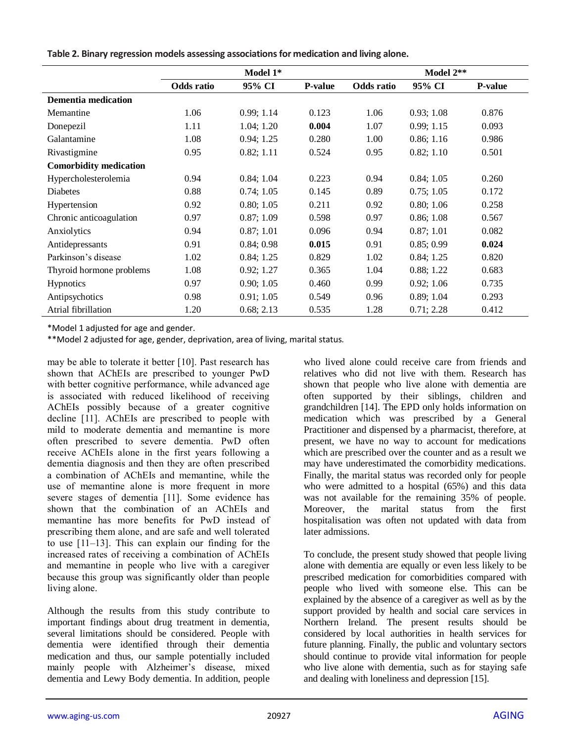|  |  |  |  | Table 2. Binary regression models assessing associations for medication and living alone. |
|--|--|--|--|-------------------------------------------------------------------------------------------|
|--|--|--|--|-------------------------------------------------------------------------------------------|

|                               | Model 1*   |            |                | Model 2**  |            |                |  |
|-------------------------------|------------|------------|----------------|------------|------------|----------------|--|
|                               | Odds ratio | 95% CI     | <b>P-value</b> | Odds ratio | 95% CI     | <b>P-value</b> |  |
| <b>Dementia medication</b>    |            |            |                |            |            |                |  |
| Memantine                     | 1.06       | 0.99; 1.14 | 0.123          | 1.06       | 0.93; 1.08 | 0.876          |  |
| Donepezil                     | 1.11       | 1.04; 1.20 | 0.004          | 1.07       | 0.99; 1.15 | 0.093          |  |
| Galantamine                   | 1.08       | 0.94; 1.25 | 0.280          | 1.00       | 0.86; 1.16 | 0.986          |  |
| Rivastigmine                  | 0.95       | 0.82; 1.11 | 0.524          | 0.95       | 0.82; 1.10 | 0.501          |  |
| <b>Comorbidity medication</b> |            |            |                |            |            |                |  |
| Hypercholesterolemia          | 0.94       | 0.84; 1.04 | 0.223          | 0.94       | 0.84; 1.05 | 0.260          |  |
| <b>Diabetes</b>               | 0.88       | 0.74; 1.05 | 0.145          | 0.89       | 0.75; 1.05 | 0.172          |  |
| Hypertension                  | 0.92       | 0.80; 1.05 | 0.211          | 0.92       | 0.80; 1.06 | 0.258          |  |
| Chronic anticoagulation       | 0.97       | 0.87; 1.09 | 0.598          | 0.97       | 0.86; 1.08 | 0.567          |  |
| Anxiolytics                   | 0.94       | 0.87; 1.01 | 0.096          | 0.94       | 0.87; 1.01 | 0.082          |  |
| Antidepressants               | 0.91       | 0.84; 0.98 | 0.015          | 0.91       | 0.85; 0.99 | 0.024          |  |
| Parkinson's disease           | 1.02       | 0.84; 1.25 | 0.829          | 1.02       | 0.84; 1.25 | 0.820          |  |
| Thyroid hormone problems      | 1.08       | 0.92; 1.27 | 0.365          | 1.04       | 0.88; 1.22 | 0.683          |  |
| <b>Hypnotics</b>              | 0.97       | 0.90; 1.05 | 0.460          | 0.99       | 0.92; 1.06 | 0.735          |  |
| Antipsychotics                | 0.98       | 0.91; 1.05 | 0.549          | 0.96       | 0.89; 1.04 | 0.293          |  |
| Atrial fibrillation           | 1.20       | 0.68; 2.13 | 0.535          | 1.28       | 0.71; 2.28 | 0.412          |  |

\*Model 1 adjusted for age and gender.

\*\*Model 2 adjusted for age, gender, deprivation, area of living, marital status.

may be able to tolerate it better [10]. Past research has shown that AChEIs are prescribed to younger PwD with better cognitive performance, while advanced age is associated with reduced likelihood of receiving AChEIs possibly because of a greater cognitive decline [11]. AChEIs are prescribed to people with mild to moderate dementia and memantine is more often prescribed to severe dementia. PwD often receive AChEIs alone in the first years following a dementia diagnosis and then they are often prescribed a combination of AChEIs and memantine, while the use of memantine alone is more frequent in more severe stages of dementia [11]. Some evidence has shown that the combination of an AChEIs and memantine has more benefits for PwD instead of prescribing them alone, and are safe and well tolerated to use [11–13]. This can explain our finding for the increased rates of receiving a combination of AChEIs and memantine in people who live with a caregiver because this group was significantly older than people living alone.

Although the results from this study contribute to important findings about drug treatment in dementia, several limitations should be considered. People with dementia were identified through their dementia medication and thus, our sample potentially included mainly people with Alzheimer's disease, mixed dementia and Lewy Body dementia. In addition, people who lived alone could receive care from friends and relatives who did not live with them. Research has shown that people who live alone with dementia are often supported by their siblings, children and grandchildren [14]. The EPD only holds information on medication which was prescribed by a General Practitioner and dispensed by a pharmacist, therefore, at present, we have no way to account for medications which are prescribed over the counter and as a result we may have underestimated the comorbidity medications. Finally, the marital status was recorded only for people who were admitted to a hospital (65%) and this data was not available for the remaining 35% of people. Moreover, the marital status from the first hospitalisation was often not updated with data from later admissions.

To conclude, the present study showed that people living alone with dementia are equally or even less likely to be prescribed medication for comorbidities compared with people who lived with someone else. This can be explained by the absence of a caregiver as well as by the support provided by health and social care services in Northern Ireland. The present results should be considered by local authorities in health services for future planning. Finally, the public and voluntary sectors should continue to provide vital information for people who live alone with dementia, such as for staying safe and dealing with loneliness and depression [15].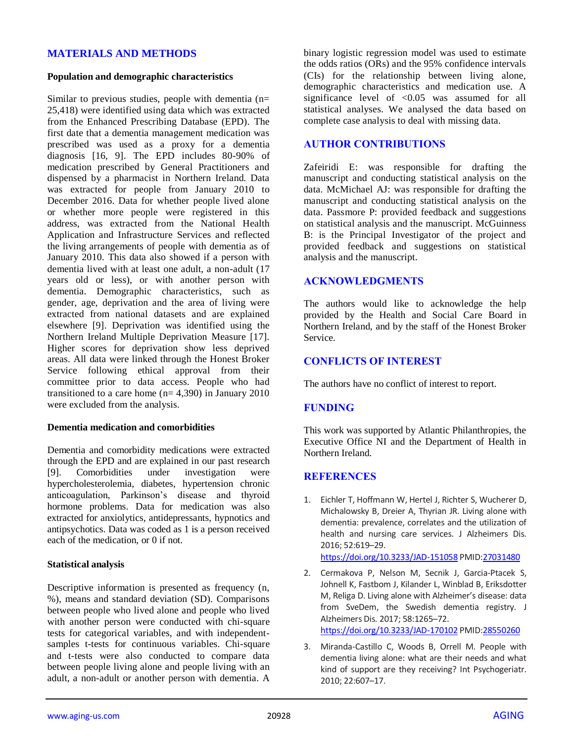# **MATERIALS AND METHODS**

#### **Population and demographic characteristics**

Similar to previous studies, people with dementia (n= 25,418) were identified using data which was extracted from the Enhanced Prescribing Database (EPD). The first date that a dementia management medication was prescribed was used as a proxy for a dementia diagnosis [16, 9]. The EPD includes 80-90% of medication prescribed by General Practitioners and dispensed by a pharmacist in Northern Ireland. Data was extracted for people from January 2010 to December 2016. Data for whether people lived alone or whether more people were registered in this address, was extracted from the National Health Application and Infrastructure Services and reflected the living arrangements of people with dementia as of January 2010. This data also showed if a person with dementia lived with at least one adult, a non-adult (17 years old or less), or with another person with dementia. Demographic characteristics, such as gender, age, deprivation and the area of living were extracted from national datasets and are explained elsewhere [9]. Deprivation was identified using the Northern Ireland Multiple Deprivation Measure [17]. Higher scores for deprivation show less deprived areas. All data were linked through the Honest Broker Service following ethical approval from their committee prior to data access. People who had transitioned to a care home  $(n= 4,390)$  in January 2010 were excluded from the analysis.

#### **Dementia medication and comorbidities**

Dementia and comorbidity medications were extracted through the EPD and are explained in our past research [9]. Comorbidities under investigation were hypercholesterolemia, diabetes, hypertension chronic anticoagulation, Parkinson's disease and thyroid hormone problems. Data for medication was also extracted for anxiolytics, antidepressants, hypnotics and antipsychotics. Data was coded as 1 is a person received each of the medication, or 0 if not.

#### **Statistical analysis**

Descriptive information is presented as frequency (n, %), means and standard deviation (SD). Comparisons between people who lived alone and people who lived with another person were conducted with chi-square tests for categorical variables, and with independentsamples t-tests for continuous variables. Chi-square and t-tests were also conducted to compare data between people living alone and people living with an adult, a non-adult or another person with dementia. A

binary logistic regression model was used to estimate the odds ratios (ORs) and the 95% confidence intervals (CIs) for the relationship between living alone, demographic characteristics and medication use. A significance level of  $< 0.05$  was assumed for all statistical analyses. We analysed the data based on complete case analysis to deal with missing data.

## **AUTHOR CONTRIBUTIONS**

Zafeiridi E: was responsible for drafting the manuscript and conducting statistical analysis on the data. McMichael AJ: was responsible for drafting the manuscript and conducting statistical analysis on the data. Passmore P: provided feedback and suggestions on statistical analysis and the manuscript. McGuinness B: is the Principal Investigator of the project and provided feedback and suggestions on statistical analysis and the manuscript.

## **ACKNOWLEDGMENTS**

The authors would like to acknowledge the help provided by the Health and Social Care Board in Northern Ireland, and by the staff of the Honest Broker Service.

# **CONFLICTS OF INTEREST**

The authors have no conflict of interest to report.

## **FUNDING**

This work was supported by Atlantic Philanthropies, the Executive Office NI and the Department of Health in Northern Ireland.

## **REFERENCES**

1. Eichler T, Hoffmann W, Hertel J, Richter S, Wucherer D, Michalowsky B, Dreier A, Thyrian JR. Living alone with dementia: prevalence, correlates and the utilization of health and nursing care services. J Alzheimers Dis. 2016; 52:619–29.

<https://doi.org/10.3233/JAD-151058> PMID[:27031480](https://pubmed.ncbi.nlm.nih.gov/27031480)

- 2. Cermakova P, Nelson M, Secnik J, Garcia-Ptacek S, Johnell K, Fastbom J, Kilander L, Winblad B, Eriksdotter M, Religa D. Living alone with Alzheimer's disease: data from SveDem, the Swedish dementia registry. J Alzheimers Dis. 2017; 58:1265–72. <https://doi.org/10.3233/JAD-170102> PMID[:28550260](https://pubmed.ncbi.nlm.nih.gov/28550260)
- 3. Miranda-Castillo C, Woods B, Orrell M. People with dementia living alone: what are their needs and what kind of support are they receiving? Int Psychogeriatr. 2010; 22:607–17.